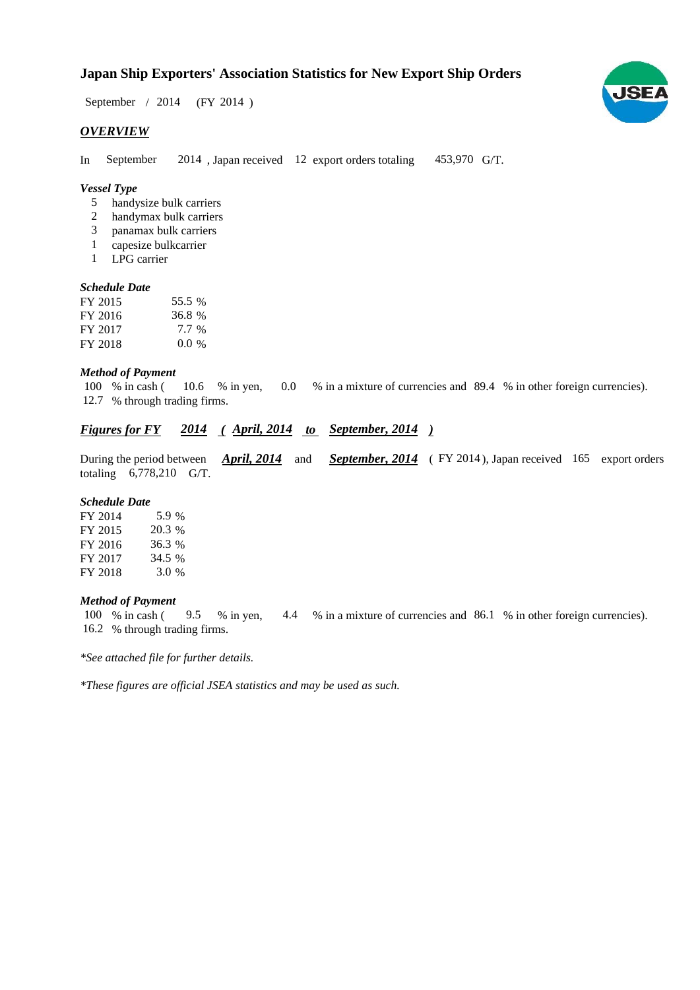# **Japan Ship Exporters' Association Statistics for New Export Ship Orders**

September / 2014 (FY 2014)

#### *OVERVIEW*

In September 2014, Japan received 12 export orders totaling 453,970 G/T.

#### *Vessel Type*

- handysize bulk carriers 5
- handymax bulk carriers 2
- panamax bulk carriers 3
- capesize bulkcarrier 1
- LPG carrier 1

#### *Schedule Date*

| FY 2015 | 55.5 %  |
|---------|---------|
| FY 2016 | 36.8 %  |
| FY 2017 | 7.7 %   |
| FY 2018 | $0.0\%$ |

#### *Method of Payment*

% in cash ( $\frac{10.6}{8}$  in yen,  $\frac{0.0}{8}$  in a mixture of currencies and 89.4 % in other foreign currencies). % through trading firms. 12.7 100 % in cash (10.6 % in yen, 0.0

### *Figures for FY* 2014 (April, 2014 to September, 2014)

During the period between *April, 2014* and *September, 2014* (FY 2014), Japan received 165 export orders totaling  $6,778,210$  G/T. *April, 2014*

#### *Schedule Date*

| FY 2014 | 5.9 %  |
|---------|--------|
| FY 2015 | 20.3 % |
| FY 2016 | 36.3 % |
| FY 2017 | 34.5 % |
| FY 2018 | 3.0 %  |

#### *Method of Payment*

100 % in cash (9.5 % in yen, 4.4 % in a mixture of currencies and 86.1 % in other foreign currencies). 16.2 % through trading firms.

*\*See attached file for further details.*

*\*These figures are official JSEA statistics and may be used as such.*

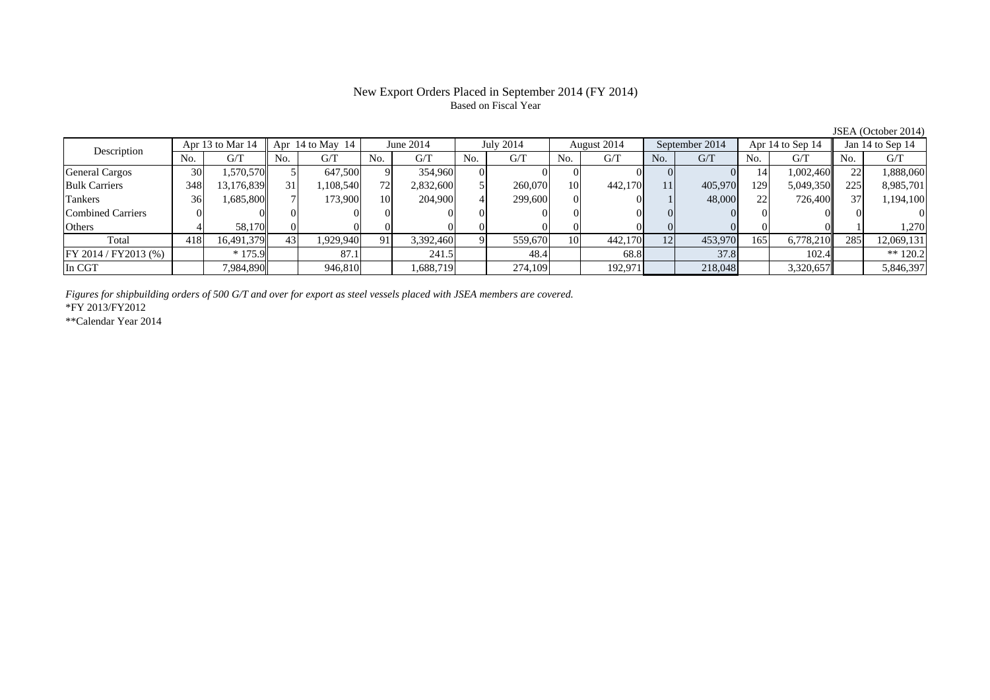#### New Export Orders Placed in September 2014 (FY 2014) Based on Fiscal Year

No. G/T No. G/T No. G/T No. G/T No. G/T No. G/T No. G/T No. G/T $G/T$ General Cargos | 30 | 1,570,570 || 5 | 647,500 || 9 || 354,960 || 0 || 0 || 0 || 0 || 0 || 14 || 1,002,460 || 22 || 1,888,060 Bulk Carriers | 348| 13,176,839|| 31| 1,108,540| 72| 2,832,600| 5| 260,070| 10| 442,170| 11| 405,970| 129| 5,049,350|| 225| 8,985,701 Tankers | 36| 1,685,800|| 7| 173,900| 10| 204,900| 4| 299,600| 0| 0| 1| 48,000| 22| 726,400|| 37| 1,194,100 Combined Carriers 0 0 0 0 0 0 0 0 0 0 0 0 0 0 0 0Others | 4 | 58,170 || 0 | 0 | 0 | 0 | 0 | 0 | 0 | 0 | 0 | 0 | 1,270 | 0 | 1 Total 418 16,491,379 43 1,929,940 91 3,392,460 9 559,670 10 442,170 12 453,970 165 6,778,210 285 12,069,131 FY 2014 / FY2013 (%) \* 175.9 87.1 87.1 241.5 48.4 68.8 37.8 102.4 \*\* 120.2 In CGT | | 7,984,890|| | 946,810| | 1,688,719| | 274,109| | 192,971| | 218,048| | 3,320,657|| | 5,846,397 June 2014 July 2014 Description Apr 13 to Mar 14 Apr 14 to May 14 August 2014 September 2014 Apr 14 to Sep 14 Jan 14 to Sep 14

*Figures for shipbuilding orders of 500 G/T and over for export as steel vessels placed with JSEA members are covered.*

\*FY 2013/FY2012

\*\*Calendar Year 2014

JSEA (October 2014)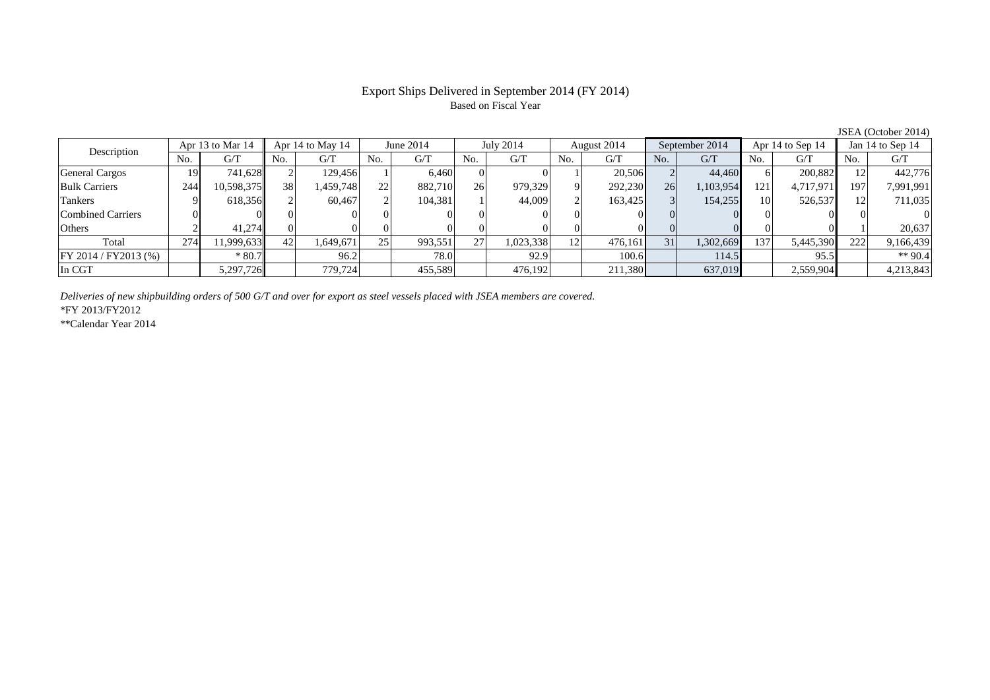## Export Ships Delivered in September 2014 (FY 2014) Based on Fiscal Year

|                          |     | Apr 13 to Mar 14 |     | Apr 14 to May 14 |     | June 2014 |     | July 2014 |                 | August 2014 |     | September 2014 |     | Apr 14 to Sep 14 |     | Jan 14 to Sep 14 |
|--------------------------|-----|------------------|-----|------------------|-----|-----------|-----|-----------|-----------------|-------------|-----|----------------|-----|------------------|-----|------------------|
| Description              | No. | G/T              | No. | G/T              | No. | G/T       | No. | G/T       | N <sub>0</sub>  | G/T         | No. | G/T            | No. | G/T              | No. | G/T              |
| <b>General Cargos</b>    | 19  | 741,628          |     | 129,456          |     | 6.460     |     |           |                 | 20,506      |     | 44,460         |     | 200.882          |     | 442,776          |
| <b>Bulk Carriers</b>     | 244 | 10,598,375       | 38  | .459,748         | 22  | 882,710   | 26  | 979,329   |                 | 292,230     | 26  | 1,103,954      | 121 | 4,717,971        | 197 | 7,991,991        |
| <b>Tankers</b>           |     | 618,356          |     | 60.467           |     | 104.381   |     | 44,009    |                 | 163,425     |     | 154,255        | 10  | 526,537          |     | 711,035          |
| <b>Combined Carriers</b> |     |                  |     |                  |     |           |     |           |                 |             |     |                |     |                  |     |                  |
| Others                   |     | 41.274           |     |                  |     |           |     |           |                 |             |     |                |     |                  |     | 20.637           |
| Total                    | 274 | 11,999,633       | 42  | .,649,671        | 25  | 993,551   | 27  | 1,023,338 | 12 <sub>1</sub> | 476,161     | 31  | 1,302,669      | 137 | 5,445,390        | 222 | 9,166,439        |
| $FY 2014 / FY 2013$ (%)  |     | $*80.7$          |     | 96.2             |     | 78.0      |     | 92.9      |                 | 100.6       |     | 114.5          |     | 95.5             |     | ** 90.4          |
| In CGT                   |     | 5,297,726        |     | 779.724          |     | 455,589   |     | 476,192   |                 | 211,380     |     | 637,019        |     | 2,559,904        |     | 4,213,843        |

*Deliveries of new shipbuilding orders of 500 G/T and over for export as steel vessels placed with JSEA members are covered.*

\*FY 2013/FY2012

\*\*Calendar Year 2014

JSEA (October 2014)